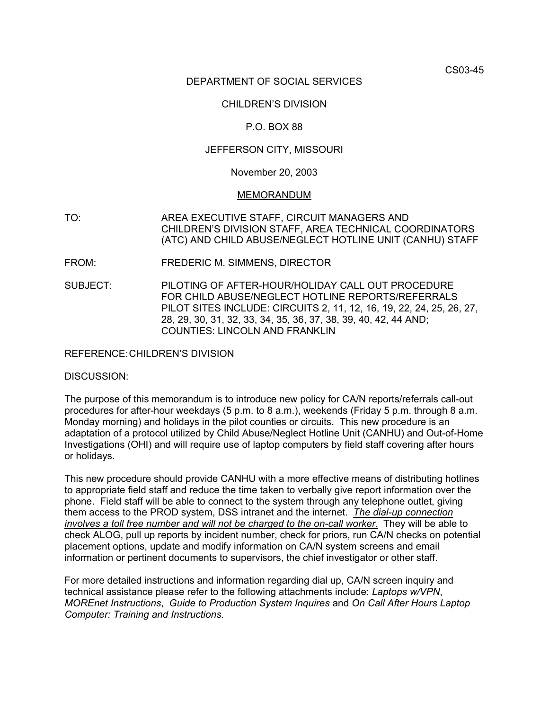CS03-45

## DEPARTMENT OF SOCIAL SERVICES

## CHILDREN'S DIVISION

## P.O. BOX 88

### JEFFERSON CITY, MISSOURI

#### November 20, 2003

#### MEMORANDUM

- TO: AREA EXECUTIVE STAFF, CIRCUIT MANAGERS AND CHILDREN'S DIVISION STAFF, AREA TECHNICAL COORDINATORS (ATC) AND CHILD ABUSE/NEGLECT HOTLINE UNIT (CANHU) STAFF
- FROM: FREDERIC M. SIMMENS, DIRECTOR
- SUBJECT: PILOTING OF AFTER-HOUR/HOLIDAY CALL OUT PROCEDURE FOR CHILD ABUSE/NEGLECT HOTLINE REPORTS/REFERRALS PILOT SITES INCLUDE: CIRCUITS 2, 11, 12, 16, 19, 22, 24, 25, 26, 27, 28, 29, 30, 31, 32, 33, 34, 35, 36, 37, 38, 39, 40, 42, 44 AND; COUNTIES: LINCOLN AND FRANKLIN

REFERENCE: CHILDREN'S DIVISION

#### DISCUSSION:

The purpose of this memorandum is to introduce new policy for CA/N reports/referrals call-out procedures for after-hour weekdays (5 p.m. to 8 a.m.), weekends (Friday 5 p.m. through 8 a.m. Monday morning) and holidays in the pilot counties or circuits. This new procedure is an adaptation of a protocol utilized by Child Abuse/Neglect Hotline Unit (CANHU) and Out-of-Home Investigations (OHI) and will require use of laptop computers by field staff covering after hours or holidays.

This new procedure should provide CANHU with a more effective means of distributing hotlines to appropriate field staff and reduce the time taken to verbally give report information over the phone. Field staff will be able to connect to the system through any telephone outlet, giving them access to the PROD system, DSS intranet and the internet. *The dial-up connection involves a toll free number and will not be charged to the on-call worker.* They will be able to check ALOG, pull up reports by incident number, check for priors, run CA/N checks on potential placement options, update and modify information on CA/N system screens and email information or pertinent documents to supervisors, the chief investigator or other staff.

For more detailed instructions and information regarding dial up, CA/N screen inquiry and technical assistance please refer to the following attachments include: *[Laptops w/VPN](http://dss.missouri.gov/cd/info/memos/2003/cs45/laptops.pdf)*, *[MOREnet Instructions](http://dss.missouri.gov/cd/info/memos/2003/cs45/morenetinst.pdf)*, *[Guide to Production System Inquires](http://dss.missouri.gov/cd/info/memos/2003/cs45/prodguide.pdf)* and *[On Call After Hours Laptop](http://dss.missouri.gov/cd/info/memos/2003/cs45/OnCall_files/frame.htm)  [Computer: Training and Instructions.](http://dss.missouri.gov/cd/info/memos/2003/cs45/OnCall_files/frame.htm)*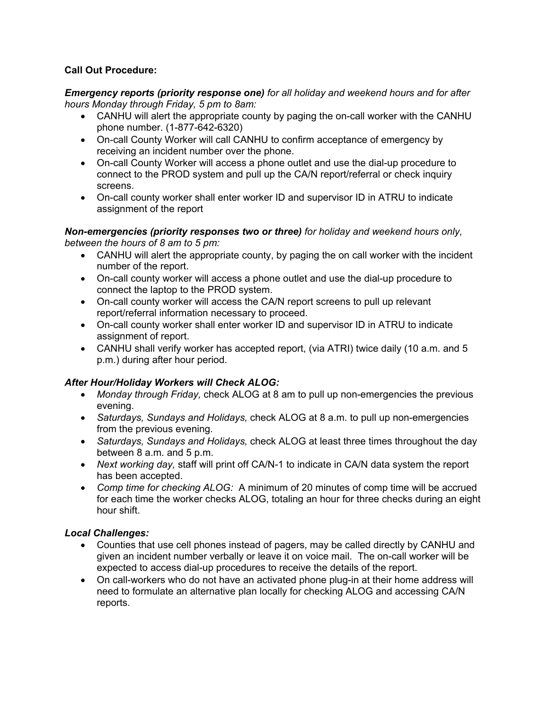# **Call Out Procedure:**

*Emergency reports (priority response one) for all holiday and weekend hours and for after hours Monday through Friday, 5 pm to 8am:* 

- CANHU will alert the appropriate county by paging the on-call worker with the CANHU phone number. (1-877-642-6320)
- On-call County Worker will call CANHU to confirm acceptance of emergency by receiving an incident number over the phone.
- On-call County Worker will access a phone outlet and use the dial-up procedure to connect to the PROD system and pull up the CA/N report/referral or check inquiry screens.
- On-call county worker shall enter worker ID and supervisor ID in ATRU to indicate assignment of the report

## *Non-emergencies (priority responses two or three) for holiday and weekend hours only, between the hours of 8 am to 5 pm:*

- CANHU will alert the appropriate county, by paging the on call worker with the incident number of the report.
- On-call county worker will access a phone outlet and use the dial-up procedure to connect the laptop to the PROD system.
- On-call county worker will access the CA/N report screens to pull up relevant report/referral information necessary to proceed.
- On-call county worker shall enter worker ID and supervisor ID in ATRU to indicate assignment of report.
- CANHU shall verify worker has accepted report, (via ATRI) twice daily (10 a.m. and 5 p.m.) during after hour period.

# *After Hour/Holiday Workers will Check ALOG:*

- *Monday through Friday,* check ALOG at 8 am to pull up non-emergencies the previous evening.
- *Saturdays, Sundays and Holidays,* check ALOG at 8 a.m. to pull up non-emergencies from the previous evening.
- *Saturdays, Sundays and Holidays,* check ALOG at least three times throughout the day between 8 a.m. and 5 p.m.
- *Next working day,* staff will print off CA/N-1 to indicate in CA/N data system the report has been accepted.
- *Comp time for checking ALOG:* A minimum of 20 minutes of comp time will be accrued for each time the worker checks ALOG, totaling an hour for three checks during an eight hour shift.

# *Local Challenges:*

- Counties that use cell phones instead of pagers, may be called directly by CANHU and given an incident number verbally or leave it on voice mail. The on-call worker will be expected to access dial-up procedures to receive the details of the report.
- On call-workers who do not have an activated phone plug-in at their home address will need to formulate an alternative plan locally for checking ALOG and accessing CA/N reports.